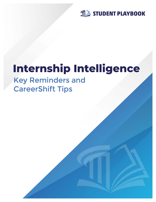

# Internship Intelligence

# **Key Reminders and CareerShift Tips**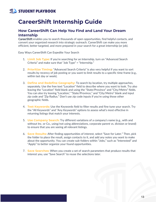#### STUDENT PLAYBOOK

## **CareerShift Internship Guide**

#### **How CareerShift Can Help You Find and Land Your Dream Internship**

[CareerShift](https://www.careershift.com/?sc=careercompass) enables you to search thousands of open opportunities, find helpful contacts, and convert your organized research into strategic outreach. CareerShift can make you more efficient, better targeted, and more prepared in your search for a great internship (or job).

Easy Ways CareerShift Can Expedite Your Search

- 1. **Limit Job Type:** If you're searching for an Internship, turn on "Advanced Search Criteria" and make sure that "Job Type" = "Internship."
- 2. **Prioritize Timing:** "Advanced Search Criteria" is also very helpful if you want to sort results by recency of job posting or you want to limit results to a specific time frame (e.g., within last day or week).
- 3. **Define and Redefine Geography:** To search by location, try multiple approaches, separately. Use the free text "Location" field to describe where you want to look. Try also leaving the "Location" field blank and using the "State/Province" and "City/Metro" fields. You can also try leaving "Location," "State/Province," and "City/Metro" blank and input zip code and "Zip Radius." Don't use zip code inputs if you're using those other geographic fields.
- 4. **Test Keywords:** Use the Keywords field to filter results and fine tune your search. Try the "All Keywords" and "Any Keywords" options to assess what's most effective in returning listings that match your interests.
- 5. **Use Company Search:** Try different variations of a company's name (e.g., with and without Inc. or Co., using/not using abbreviations, corporate parent vs. division or brand) to ensure that you are seeing all relevant listings.
- 6. **Save Results:** After finding opportunities of interest, select "Save for Later." Then, pick the folder to place the result, assign contacts to it, and add any notes you want to make about the opportunity. You can create sub-folders within "Jobs," such as "Interested" and "Apply" to better organize your found opportunities.
- 7. **Save Searches:** When you create a set of search parameters that produce results that interest you, use "Save Search" to reuse the selections later.